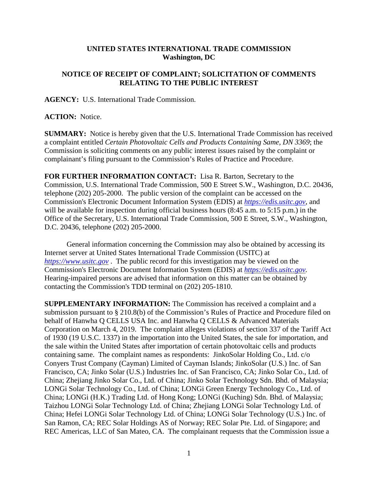## **UNITED STATES INTERNATIONAL TRADE COMMISSION Washington, DC**

## **NOTICE OF RECEIPT OF COMPLAINT; SOLICITATION OF COMMENTS RELATING TO THE PUBLIC INTEREST**

**AGENCY:** U.S. International Trade Commission.

## **ACTION:** Notice.

**SUMMARY:** Notice is hereby given that the U.S. International Trade Commission has received a complaint entitled *Certain Photovoltaic Cells and Products Containing Same, DN 3369*; the Commission is soliciting comments on any public interest issues raised by the complaint or complainant's filing pursuant to the Commission's Rules of Practice and Procedure.

**FOR FURTHER INFORMATION CONTACT:** Lisa R. Barton, Secretary to the Commission, U.S. International Trade Commission, 500 E Street S.W., Washington, D.C. 20436, telephone (202) 205-2000. The public version of the complaint can be accessed on the Commission's Electronic Document Information System (EDIS) at *[https://edis.usitc.gov](https://edis.usitc.gov/)*, and will be available for inspection during official business hours (8:45 a.m. to 5:15 p.m.) in the Office of the Secretary, U.S. International Trade Commission, 500 E Street, S.W., Washington, D.C. 20436, telephone (202) 205-2000.

General information concerning the Commission may also be obtained by accessing its Internet server at United States International Trade Commission (USITC) at *[https://www.usitc.gov](https://www.usitc.gov/)* . The public record for this investigation may be viewed on the Commission's Electronic Document Information System (EDIS) at *[https://edis.usitc.gov.](https://edis.usitc.gov/)* Hearing-impaired persons are advised that information on this matter can be obtained by contacting the Commission's TDD terminal on (202) 205-1810.

**SUPPLEMENTARY INFORMATION:** The Commission has received a complaint and a submission pursuant to § 210.8(b) of the Commission's Rules of Practice and Procedure filed on behalf of Hanwha Q CELLS USA Inc. and Hanwha Q CELLS & Advanced Materials Corporation on March 4, 2019. The complaint alleges violations of section 337 of the Tariff Act of 1930 (19 U.S.C. 1337) in the importation into the United States, the sale for importation, and the sale within the United States after importation of certain photovoltaic cells and products containing same. The complaint names as respondents: JinkoSolar Holding Co., Ltd. c/o Conyers Trust Company (Cayman) Limited of Cayman Islands; JinkoSolar (U.S.) Inc. of San Francisco, CA; Jinko Solar (U.S.) Industries Inc. of San Francisco, CA; Jinko Solar Co., Ltd. of China; Zhejiang Jinko Solar Co., Ltd. of China; Jinko Solar Technology Sdn. Bhd. of Malaysia; LONGi Solar Technology Co., Ltd. of China; LONGi Green Energy Technology Co., Ltd. of China; LONGi (H.K.) Trading Ltd. of Hong Kong; LONGi (Kuching) Sdn. Bhd. of Malaysia; Taizhou LONGi Solar Technology Ltd. of China; Zhejiang LONGi Solar Technology Ltd. of China; Hefei LONGi Solar Technology Ltd. of China; LONGi Solar Technology (U.S.) Inc. of San Ramon, CA; REC Solar Holdings AS of Norway; REC Solar Pte. Ltd. of Singapore; and REC Americas, LLC of San Mateo, CA. The complainant requests that the Commission issue a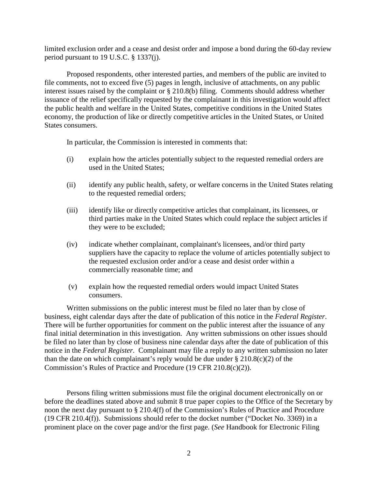limited exclusion order and a cease and desist order and impose a bond during the 60-day review period pursuant to 19 U.S.C. § 1337(j).

Proposed respondents, other interested parties, and members of the public are invited to file comments, not to exceed five (5) pages in length, inclusive of attachments, on any public interest issues raised by the complaint or § 210.8(b) filing. Comments should address whether issuance of the relief specifically requested by the complainant in this investigation would affect the public health and welfare in the United States, competitive conditions in the United States economy, the production of like or directly competitive articles in the United States, or United States consumers.

In particular, the Commission is interested in comments that:

- (i) explain how the articles potentially subject to the requested remedial orders are used in the United States;
- (ii) identify any public health, safety, or welfare concerns in the United States relating to the requested remedial orders;
- (iii) identify like or directly competitive articles that complainant, its licensees, or third parties make in the United States which could replace the subject articles if they were to be excluded;
- (iv) indicate whether complainant, complainant's licensees, and/or third party suppliers have the capacity to replace the volume of articles potentially subject to the requested exclusion order and/or a cease and desist order within a commercially reasonable time; and
- (v) explain how the requested remedial orders would impact United States consumers.

Written submissions on the public interest must be filed no later than by close of business, eight calendar days after the date of publication of this notice in the *Federal Register*. There will be further opportunities for comment on the public interest after the issuance of any final initial determination in this investigation. Any written submissions on other issues should be filed no later than by close of business nine calendar days after the date of publication of this notice in the *Federal Register*. Complainant may file a reply to any written submission no later than the date on which complainant's reply would be due under  $\S 210.8(c)(2)$  of the Commission's Rules of Practice and Procedure (19 CFR 210.8(c)(2)).

Persons filing written submissions must file the original document electronically on or before the deadlines stated above and submit 8 true paper copies to the Office of the Secretary by noon the next day pursuant to § 210.4(f) of the Commission's Rules of Practice and Procedure (19 CFR 210.4(f)). Submissions should refer to the docket number ("Docket No. 3369) in a prominent place on the cover page and/or the first page. (*See* Handbook for Electronic Filing